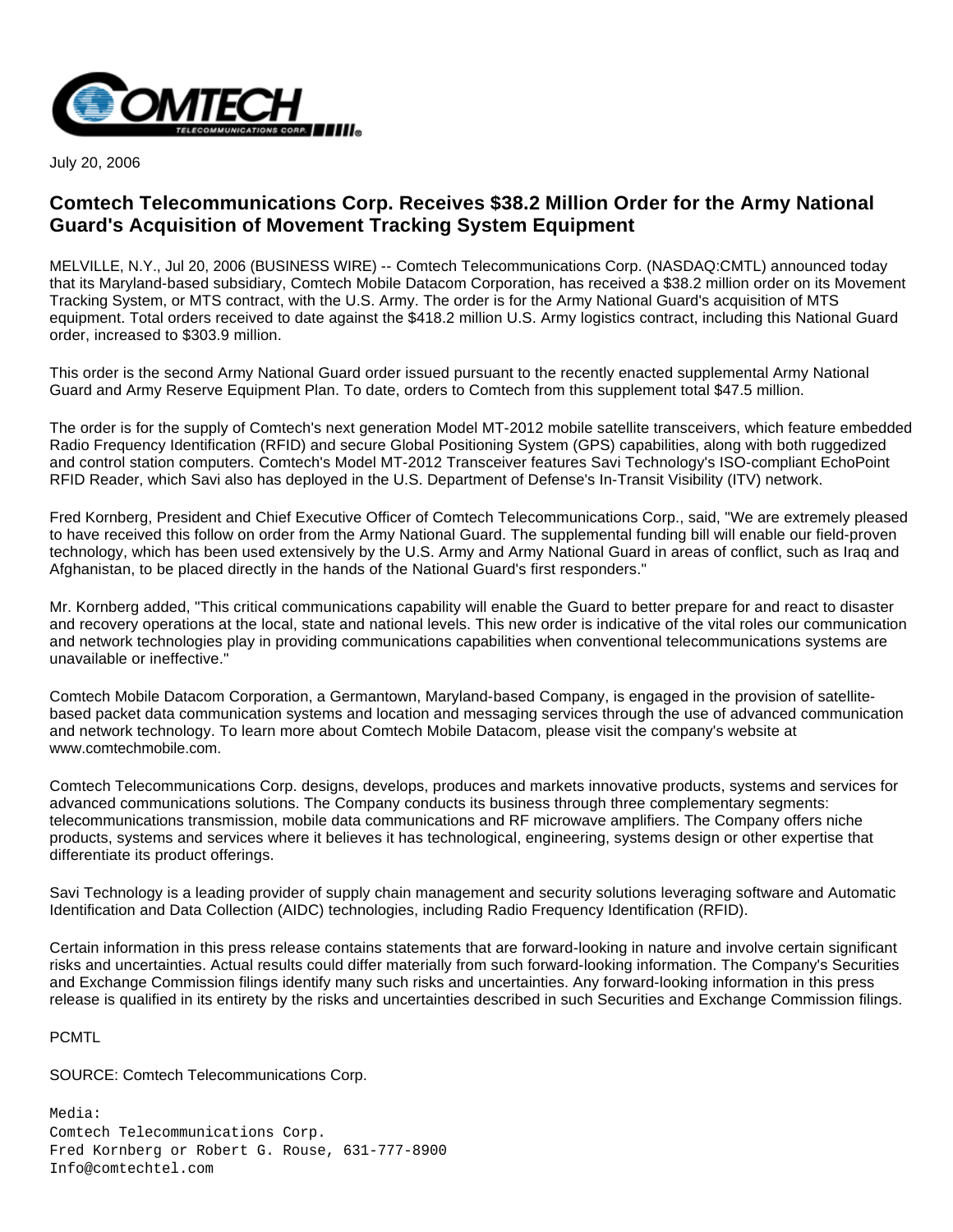

July 20, 2006

## **Comtech Telecommunications Corp. Receives \$38.2 Million Order for the Army National Guard's Acquisition of Movement Tracking System Equipment**

MELVILLE, N.Y., Jul 20, 2006 (BUSINESS WIRE) -- Comtech Telecommunications Corp. (NASDAQ:CMTL) announced today that its Maryland-based subsidiary, Comtech Mobile Datacom Corporation, has received a \$38.2 million order on its Movement Tracking System, or MTS contract, with the U.S. Army. The order is for the Army National Guard's acquisition of MTS equipment. Total orders received to date against the \$418.2 million U.S. Army logistics contract, including this National Guard order, increased to \$303.9 million.

This order is the second Army National Guard order issued pursuant to the recently enacted supplemental Army National Guard and Army Reserve Equipment Plan. To date, orders to Comtech from this supplement total \$47.5 million.

The order is for the supply of Comtech's next generation Model MT-2012 mobile satellite transceivers, which feature embedded Radio Frequency Identification (RFID) and secure Global Positioning System (GPS) capabilities, along with both ruggedized and control station computers. Comtech's Model MT-2012 Transceiver features Savi Technology's ISO-compliant EchoPoint RFID Reader, which Savi also has deployed in the U.S. Department of Defense's In-Transit Visibility (ITV) network.

Fred Kornberg, President and Chief Executive Officer of Comtech Telecommunications Corp., said, "We are extremely pleased to have received this follow on order from the Army National Guard. The supplemental funding bill will enable our field-proven technology, which has been used extensively by the U.S. Army and Army National Guard in areas of conflict, such as Iraq and Afghanistan, to be placed directly in the hands of the National Guard's first responders."

Mr. Kornberg added, "This critical communications capability will enable the Guard to better prepare for and react to disaster and recovery operations at the local, state and national levels. This new order is indicative of the vital roles our communication and network technologies play in providing communications capabilities when conventional telecommunications systems are unavailable or ineffective."

Comtech Mobile Datacom Corporation, a Germantown, Maryland-based Company, is engaged in the provision of satellitebased packet data communication systems and location and messaging services through the use of advanced communication and network technology. To learn more about Comtech Mobile Datacom, please visit the company's website at www.comtechmobile.com.

Comtech Telecommunications Corp. designs, develops, produces and markets innovative products, systems and services for advanced communications solutions. The Company conducts its business through three complementary segments: telecommunications transmission, mobile data communications and RF microwave amplifiers. The Company offers niche products, systems and services where it believes it has technological, engineering, systems design or other expertise that differentiate its product offerings.

Savi Technology is a leading provider of supply chain management and security solutions leveraging software and Automatic Identification and Data Collection (AIDC) technologies, including Radio Frequency Identification (RFID).

Certain information in this press release contains statements that are forward-looking in nature and involve certain significant risks and uncertainties. Actual results could differ materially from such forward-looking information. The Company's Securities and Exchange Commission filings identify many such risks and uncertainties. Any forward-looking information in this press release is qualified in its entirety by the risks and uncertainties described in such Securities and Exchange Commission filings.

PCMTL

SOURCE: Comtech Telecommunications Corp.

Media: Comtech Telecommunications Corp. Fred Kornberg or Robert G. Rouse, 631-777-8900 Info@comtechtel.com